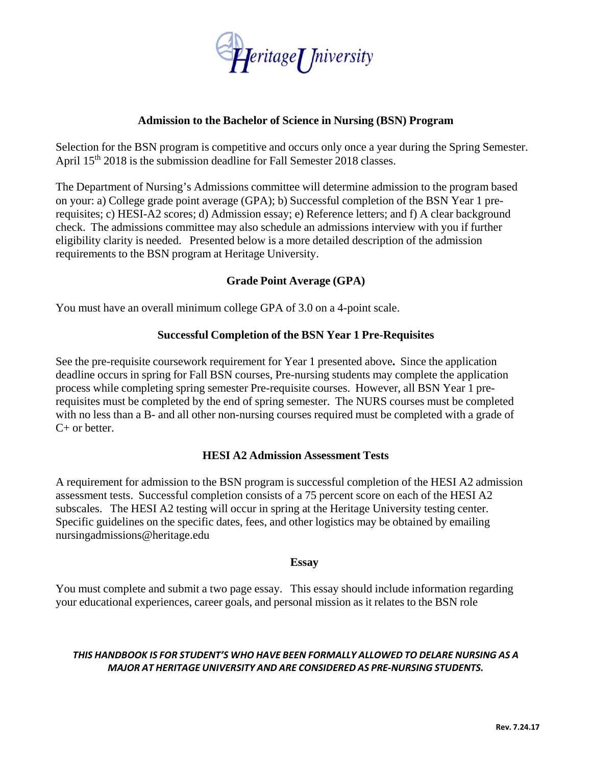

### **Admission to the Bachelor of Science in Nursing (BSN) Program**

Selection for the BSN program is competitive and occurs only once a year during the Spring Semester. April 15<sup>th</sup> 2018 is the submission deadline for Fall Semester 2018 classes.

The Department of Nursing's Admissions committee will determine admission to the program based on your: a) College grade point average (GPA); b) Successful completion of the BSN Year 1 prerequisites; c) HESI-A2 scores; d) Admission essay; e) Reference letters; and f) A clear background check. The admissions committee may also schedule an admissions interview with you if further eligibility clarity is needed. Presented below is a more detailed description of the admission requirements to the BSN program at Heritage University.

# **Grade Point Average (GPA)**

You must have an overall minimum college GPA of 3.0 on a 4-point scale.

# **Successful Completion of the BSN Year 1 Pre-Requisites**

See the pre-requisite coursework requirement for Year 1 presented above**.** Since the application deadline occurs in spring for Fall BSN courses, Pre-nursing students may complete the application process while completing spring semester Pre-requisite courses. However, all BSN Year 1 prerequisites must be completed by the end of spring semester. The NURS courses must be completed with no less than a B- and all other non-nursing courses required must be completed with a grade of C+ or better.

### **HESI A2 Admission Assessment Tests**

A requirement for admission to the BSN program is successful completion of the HESI A2 admission assessment tests. Successful completion consists of a 75 percent score on each of the HESI A2 subscales. The HESI A2 testing will occur in spring at the Heritage University testing center. Specific guidelines on the specific dates, fees, and other logistics may be obtained by emailing nursingadmissions@heritage.edu

### **Essay**

You must complete and submit a two page essay. This essay should include information regarding your educational experiences, career goals, and personal mission as it relates to the BSN role

### *THIS HANDBOOK IS FOR STUDENT'S WHO HAVE BEEN FORMALLY ALLOWED TO DELARE NURSING AS A MAJOR AT HERITAGE UNIVERSITY AND ARE CONSIDERED AS PRE‐NURSING STUDENTS.*